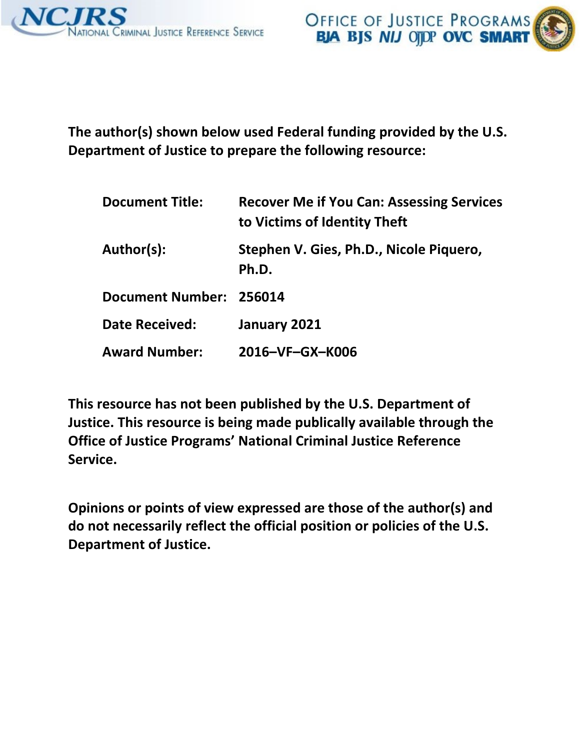



**The author(s) shown below used Federal funding provided by the U.S. Department of Justice to prepare the following resource:** 

| <b>Document Title:</b>  | <b>Recover Me if You Can: Assessing Services</b><br>to Victims of Identity Theft |  |
|-------------------------|----------------------------------------------------------------------------------|--|
| Author(s):              | Stephen V. Gies, Ph.D., Nicole Piquero,<br>Ph.D.                                 |  |
| Document Number: 256014 |                                                                                  |  |
| <b>Date Received:</b>   | January 2021                                                                     |  |
| <b>Award Number:</b>    | 2016-VF-GX-K006                                                                  |  |

**This resource has not been published by the U.S. Department of Justice. This resource is being made publically available through the Office of Justice Programs' National Criminal Justice Reference Service.** 

**Opinions or points of view expressed are those of the author(s) and do not necessarily reflect the official position or policies of the U.S. Department of Justice.**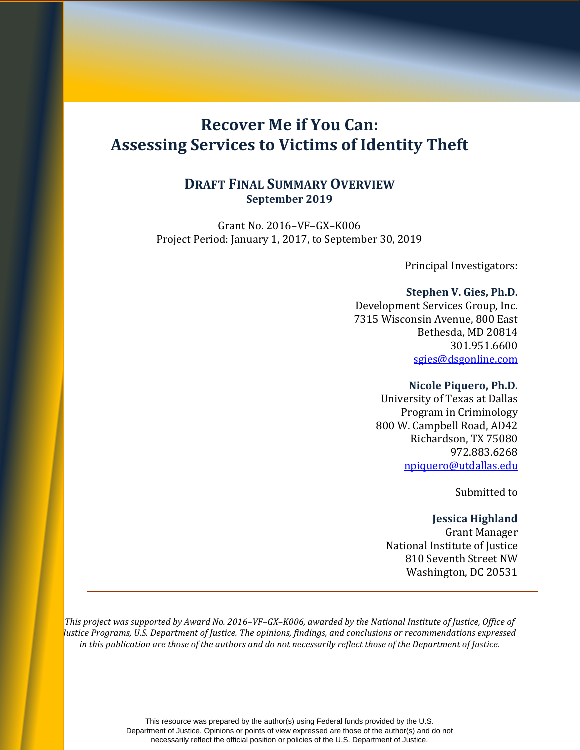# **Recover Me if You Can: Assessing Services to Victims of Identity Theft**

## **DRAFT FINAL SUMMARY OVERVIEW September 2019**

Grant No. 2016–VF–GX–K006 Project Period: January 1, 2017, to September 30, 2019

Principal Investigators:

## **Stephen V. Gies, Ph.D.**

Development Services Group, Inc. 7315 Wisconsin Avenue, 800 East Bethesda, MD 20814 301.951.6600 [sgies@dsgonline.com](mailto:sgies@dsgonline.com)

#### **Nicole Piquero, Ph.D.**

University of Texas at Dallas Program in Criminology 800 W. Campbell Road, AD42 Richardson, TX 75080 972.883.6268 [npiquero@utdallas.edu](mailto:npiquero@utdallas.edu)

Submitted to

## **Jessica Highland**

 Grant Manager National Institute of Justice 810 Seventh Street NW Washington, DC 20531

*This project was supported by Award No. 2016–VF–GX–K006, awarded by the National Institute of Justice, Office of Justice Programs, U.S. Department of Justice. The opinions, findings, and conclusions or recommendations expressed in this publication are those of the authors and do not necessarily reflect those of the Department of Justice.*

> This resource was prepared by the author(s) using Federal funds provided by the U.S. Department of Justice. Opinions or points of view expressed are those of the author(s) and do not necessarily reflect the official position or policies of the U.S. Department of Justice.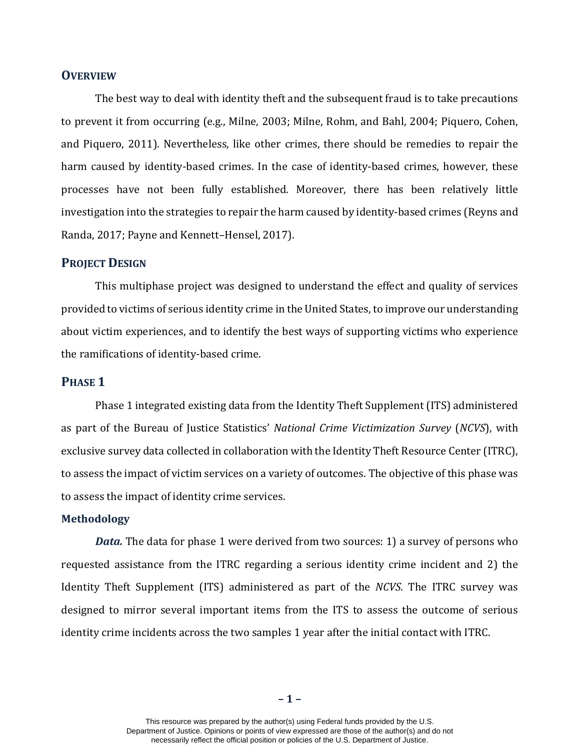#### **OVERVIEW**

The best way to deal with identity theft and the subsequent fraud is to take precautions to prevent it from occurring (e.g., Milne, 2003; Milne, Rohm, and Bahl, 2004; Piquero, Cohen, and Piquero, 2011). Nevertheless, like other crimes, there should be remedies to repair the harm caused by identity-based crimes. In the case of identity-based crimes, however, these processes have not been fully established. Moreover, there has been relatively little investigation into the strategies to repair the harm caused by identity-based crimes (Reyns and Randa, 2017; Payne and Kennett–Hensel, 2017).

#### **PROJECT DESIGN**

This multiphase project was designed to understand the effect and quality of services provided to victims of serious identity crime in the United States, to improve our understanding about victim experiences, and to identify the best ways of supporting victims who experience the ramifications of identity-based crime.

## **PHASE 1**

Phase 1 integrated existing data from the Identity Theft Supplement (ITS) administered as part of the Bureau of Justice Statistics' *National Crime Victimization Survey* (*NCVS*), with exclusive survey data collected in collaboration with the Identity Theft Resource Center (ITRC), to assess the impact of victim services on a variety of outcomes. The objective of this phase was to assess the impact of identity crime services.

#### **Methodology**

*Data.* The data for phase 1 were derived from two sources: 1) a survey of persons who requested assistance from the ITRC regarding a serious identity crime incident and 2) the Identity Theft Supplement (ITS) administered as part of the *NCVS.* The ITRC survey was designed to mirror several important items from the ITS to assess the outcome of serious identity crime incidents across the two samples 1 year after the initial contact with ITRC.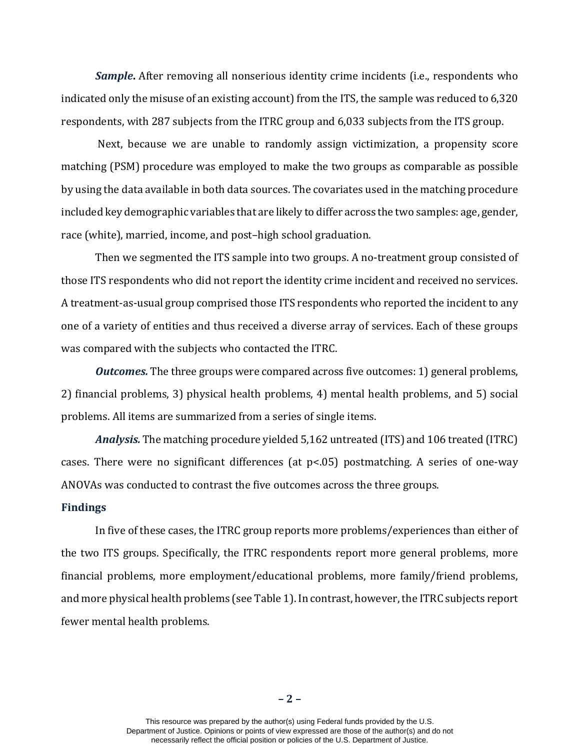*Sample***.** After removing all nonserious identity crime incidents (i.e., respondents who indicated only the misuse of an existing account) from the ITS, the sample was reduced to 6,320 respondents, with 287 subjects from the ITRC group and 6,033 subjects from the ITS group.

Next, because we are unable to randomly assign victimization, a propensity score matching (PSM) procedure was employed to make the two groups as comparable as possible by using the data available in both data sources. The covariates used in the matching procedure included key demographic variables that are likely to differ across the two samples: age, gender, race (white), married, income, and post–high school graduation.

Then we segmented the ITS sample into two groups. A no-treatment group consisted of those ITS respondents who did not report the identity crime incident and received no services. A treatment-as-usual group comprised those ITS respondents who reported the incident to any one of a variety of entities and thus received a diverse array of services. Each of these groups was compared with the subjects who contacted the ITRC.

*Outcomes.* The three groups were compared across five outcomes: 1) general problems, 2) financial problems, 3) physical health problems, 4) mental health problems, and 5) social problems. All items are summarized from a series of single items.

*Analysis.* The matching procedure yielded 5,162 untreated (ITS) and 106 treated (ITRC) cases. There were no significant differences (at p<.05) postmatching. A series of one-way ANOVAs was conducted to contrast the five outcomes across the three groups.

#### **Findings**

In five of these cases, the ITRC group reports more problems/experiences than either of the two ITS groups. Specifically, the ITRC respondents report more general problems, more financial problems, more employment/educational problems, more family/friend problems, and more physical health problems (see Table 1). In contrast, however, the ITRC subjects report fewer mental health problems.

This resource was prepared by the author(s) using Federal funds provided by the U.S. Department of Justice. Opinions or points of view expressed are those of the author(s) and do not necessarily reflect the official position or policies of the U.S. Department of Justice.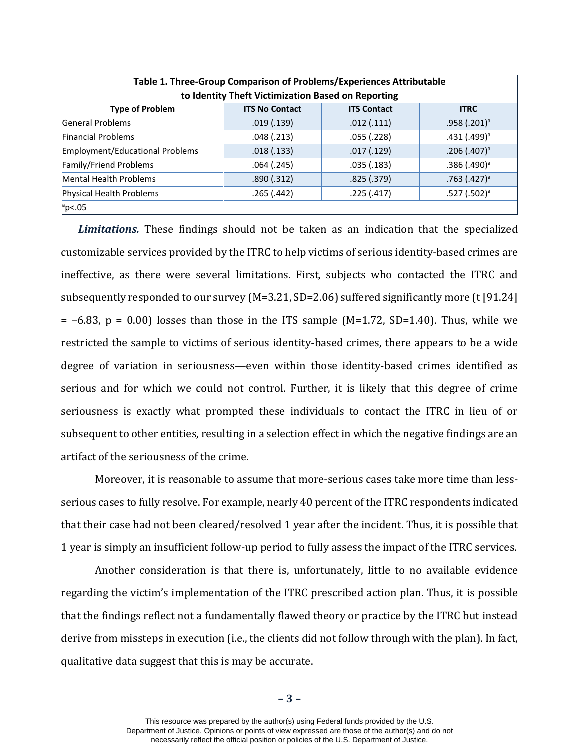| Table 1. Three-Group Comparison of Problems/Experiences Attributable<br>to Identity Theft Victimization Based on Reporting |                       |                    |                            |
|----------------------------------------------------------------------------------------------------------------------------|-----------------------|--------------------|----------------------------|
| <b>Type of Problem</b>                                                                                                     | <b>ITS No Contact</b> | <b>ITS Contact</b> | <b>ITRC</b>                |
| General Problems                                                                                                           | .019(0.139)           | .012(.111)         | $.958(.201)^{a}$           |
| <b>Financial Problems</b>                                                                                                  | .048(.213)            | .055(.228)         | $.431(.499)^{a}$           |
| Employment/Educational Problems                                                                                            | .018(.133)            | .017(.129)         | $.206$ (.407) <sup>a</sup> |
| Family/Friend Problems                                                                                                     | .064(.245)            | .035(.183)         | $.386$ (.490) <sup>a</sup> |
| Mental Health Problems                                                                                                     | .890(.312)            | .825(.379)         | $.763$ (.427) <sup>a</sup> |
| Physical Health Problems                                                                                                   | .265(.442)            | .225(.417)         | $.527(.502)^{a}$           |
| $p$ <.05                                                                                                                   |                       |                    |                            |

*Limitations.* These findings should not be taken as an indication that the specialized customizable services provided by the ITRC to help victims of serious identity-based crimes are ineffective, as there were several limitations. First, subjects who contacted the ITRC and subsequently responded to our survey (M=3.21, SD=2.06) suffered significantly more (t [91.24]  $= -6.83$ ,  $p = 0.00$  losses than those in the ITS sample (M=1.72, SD=1.40). Thus, while we restricted the sample to victims of serious identity-based crimes, there appears to be a wide degree of variation in seriousness—even within those identity-based crimes identified as serious and for which we could not control. Further, it is likely that this degree of crime seriousness is exactly what prompted these individuals to contact the ITRC in lieu of or subsequent to other entities, resulting in a selection effect in which the negative findings are an artifact of the seriousness of the crime.

Moreover, it is reasonable to assume that more-serious cases take more time than lessserious cases to fully resolve. For example, nearly 40 percent of the ITRC respondents indicated that their case had not been cleared/resolved 1 year after the incident. Thus, it is possible that 1 year is simply an insufficient follow-up period to fully assess the impact of the ITRC services.

Another consideration is that there is, unfortunately, little to no available evidence regarding the victim's implementation of the ITRC prescribed action plan. Thus, it is possible that the findings reflect not a fundamentally flawed theory or practice by the ITRC but instead derive from missteps in execution (i.e., the clients did not follow through with the plan). In fact, qualitative data suggest that this is may be accurate.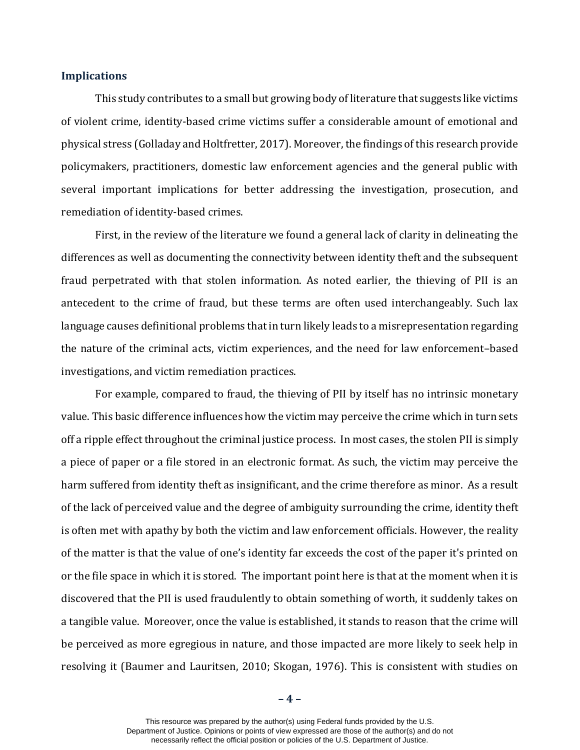#### **Implications**

This study contributes to a small but growing body of literature that suggests like victims of violent crime, identity-based crime victims suffer a considerable amount of emotional and physical stress (Golladay and Holtfretter, 2017). Moreover, the findings of this research provide policymakers, practitioners, domestic law enforcement agencies and the general public with several important implications for better addressing the investigation, prosecution, and remediation of identity-based crimes.

First, in the review of the literature we found a general lack of clarity in delineating the differences as well as documenting the connectivity between identity theft and the subsequent fraud perpetrated with that stolen information. As noted earlier, the thieving of PII is an antecedent to the crime of fraud, but these terms are often used interchangeably. Such lax language causes definitional problems that in turn likely leads to a misrepresentation regarding the nature of the criminal acts, victim experiences, and the need for law enforcement–based investigations, and victim remediation practices.

For example, compared to fraud, the thieving of PII by itself has no intrinsic monetary value. This basic difference influences how the victim may perceive the crime which in turn sets off a ripple effect throughout the criminal justice process. In most cases, the stolen PII is simply a piece of paper or a file stored in an electronic format. As such, the victim may perceive the harm suffered from identity theft as insignificant, and the crime therefore as minor. As a result of the lack of perceived value and the degree of ambiguity surrounding the crime, identity theft is often met with apathy by both the victim and law enforcement officials. However, the reality of the matter is that the value of one's identity far exceeds the cost of the paper it's printed on or the file space in which it is stored. The important point here is that at the moment when it is discovered that the PII is used fraudulently to obtain something of worth, it suddenly takes on a tangible value. Moreover, once the value is established, it stands to reason that the crime will be perceived as more egregious in nature, and those impacted are more likely to seek help in resolving it (Baumer and Lauritsen, 2010; Skogan, 1976). This is consistent with studies on

**– 4 –**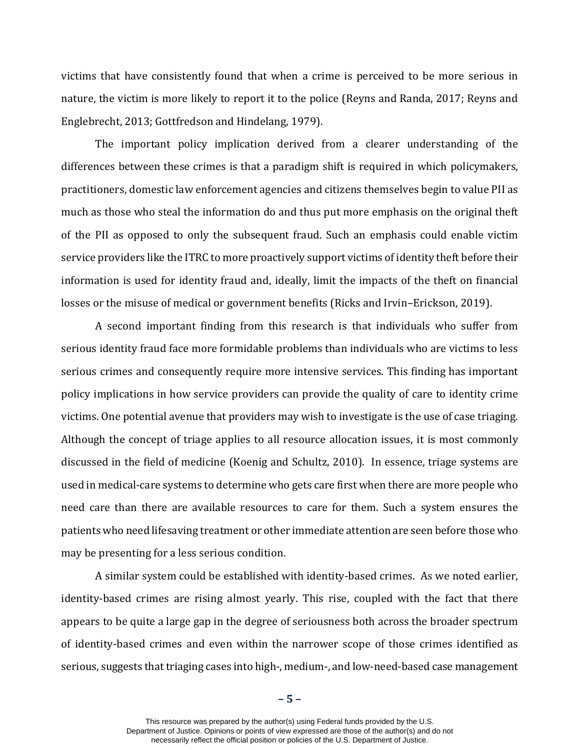victims that have consistently found that when a crime is perceived to be more serious in nature, the victim is more likely to report it to the police (Reyns and Randa, 2017; Reyns and Englebrecht, 2013; Gottfredson and Hindelang, 1979).

The important policy implication derived from a clearer understanding of the differences between these crimes is that a paradigm shift is required in which policymakers, practitioners, domestic law enforcement agencies and citizens themselves begin to value PII as much as those who steal the information do and thus put more emphasis on the original theft of the PII as opposed to only the subsequent fraud. Such an emphasis could enable victim service providers like the ITRC to more proactively support victims of identity theft before their information is used for identity fraud and, ideally, limit the impacts of the theft on financial losses or the misuse of medical or government benefits (Ricks and Irvin–Erickson, 2019).

A second important finding from this research is that individuals who suffer from serious identity fraud face more formidable problems than individuals who are victims to less serious crimes and consequently require more intensive services. This finding has important policy implications in how service providers can provide the quality of care to identity crime victims. One potential avenue that providers may wish to investigate is the use of case triaging. Although the concept of triage applies to all resource allocation issues, it is most commonly discussed in the field of medicine (Koenig and Schultz, 2010). In essence, triage systems are used in medical-care systems to determine who gets care first when there are more people who need care than there are available resources to care for them. Such a system ensures the patients who need lifesaving treatment or other immediate attention are seen before those who may be presenting for a less serious condition.

A similar system could be established with identity-based crimes. As we noted earlier, identity-based crimes are rising almost yearly. This rise, coupled with the fact that there appears to be quite a large gap in the degree of seriousness both across the broader spectrum of identity-based crimes and even within the narrower scope of those crimes identified as serious, suggests that triaging cases into high-, medium-, and low-need-based case management

**– 5 –**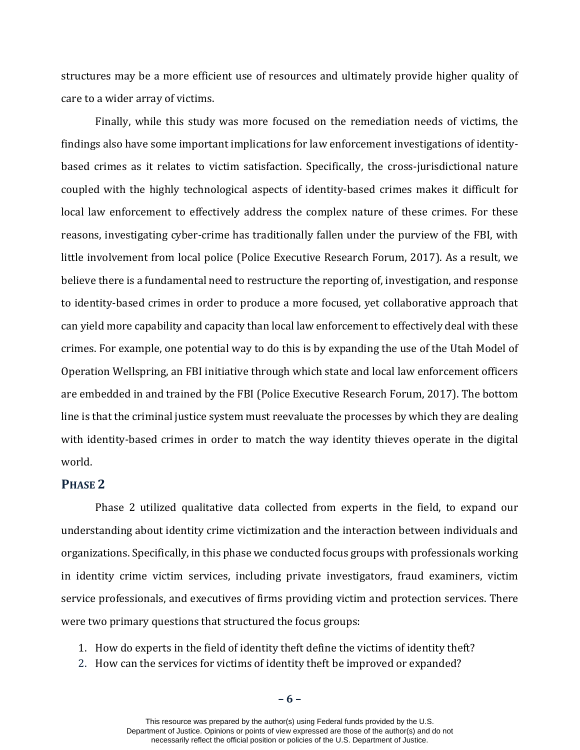structures may be a more efficient use of resources and ultimately provide higher quality of care to a wider array of victims.

Finally, while this study was more focused on the remediation needs of victims, the findings also have some important implications for law enforcement investigations of identitybased crimes as it relates to victim satisfaction. Specifically, the cross-jurisdictional nature coupled with the highly technological aspects of identity-based crimes makes it difficult for local law enforcement to effectively address the complex nature of these crimes. For these reasons, investigating cyber-crime has traditionally fallen under the purview of the FBI, with little involvement from local police (Police Executive Research Forum, 2017). As a result, we believe there is a fundamental need to restructure the reporting of, investigation, and response to identity-based crimes in order to produce a more focused, yet collaborative approach that can yield more capability and capacity than local law enforcement to effectively deal with these crimes. For example, one potential way to do this is by expanding the use of the Utah Model of Operation Wellspring, an FBI initiative through which state and local law enforcement officers are embedded in and trained by the FBI (Police Executive Research Forum, 2017). The bottom line is that the criminal justice system must reevaluate the processes by which they are dealing with identity-based crimes in order to match the way identity thieves operate in the digital world.

## **PHASE 2**

Phase 2 utilized qualitative data collected from experts in the field, to expand our understanding about identity crime victimization and the interaction between individuals and organizations. Specifically, in this phase we conducted focus groups with professionals working in identity crime victim services, including private investigators, fraud examiners, victim service professionals, and executives of firms providing victim and protection services. There were two primary questions that structured the focus groups:

- 1. How do experts in the field of identity theft define the victims of identity theft?
- 2. How can the services for victims of identity theft be improved or expanded?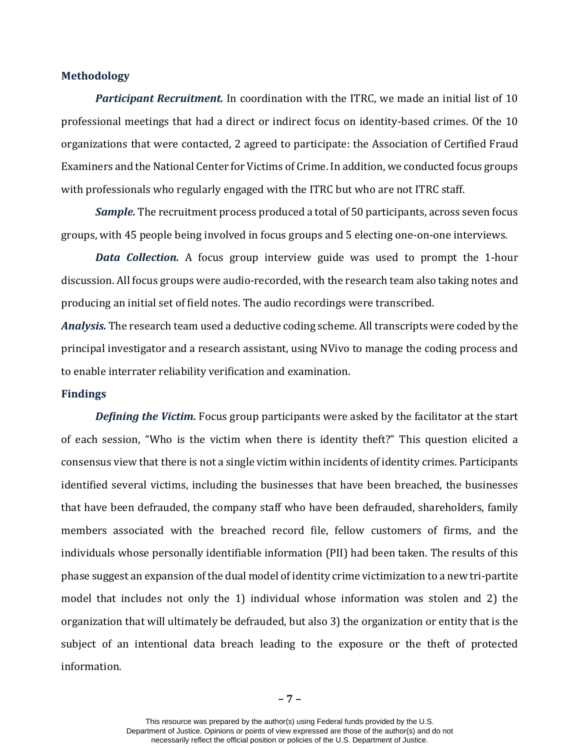#### **Methodology**

*Participant Recruitment.* In coordination with the ITRC, we made an initial list of 10 professional meetings that had a direct or indirect focus on identity-based crimes. Of the 10 organizations that were contacted, 2 agreed to participate: the Association of Certified Fraud Examiners and the National Center for Victims of Crime. In addition, we conducted focus groups with professionals who regularly engaged with the ITRC but who are not ITRC staff.

*Sample.* The recruitment process produced a total of 50 participants, across seven focus groups, with 45 people being involved in focus groups and 5 electing one-on-one interviews.

*Data Collection.* A focus group interview guide was used to prompt the 1-hour discussion. All focus groups were audio-recorded, with the research team also taking notes and producing an initial set of field notes. The audio recordings were transcribed.

*Analysis.* The research team used a deductive coding scheme. All transcripts were coded by the principal investigator and a research assistant, using NVivo to manage the coding process and to enable interrater reliability verification and examination.

#### **Findings**

*Defining the Victim.* Focus group participants were asked by the facilitator at the start of each session, "Who is the victim when there is identity theft?" This question elicited a consensus view that there is not a single victim within incidents of identity crimes. Participants identified several victims, including the businesses that have been breached, the businesses that have been defrauded, the company staff who have been defrauded, shareholders, family members associated with the breached record file, fellow customers of firms, and the individuals whose personally identifiable information (PII) had been taken. The results of this phase suggest an expansion of the dual model of identity crime victimization to a new tri-partite model that includes not only the 1) individual whose information was stolen and 2) the organization that will ultimately be defrauded, but also 3) the organization or entity that is the subject of an intentional data breach leading to the exposure or the theft of protected information.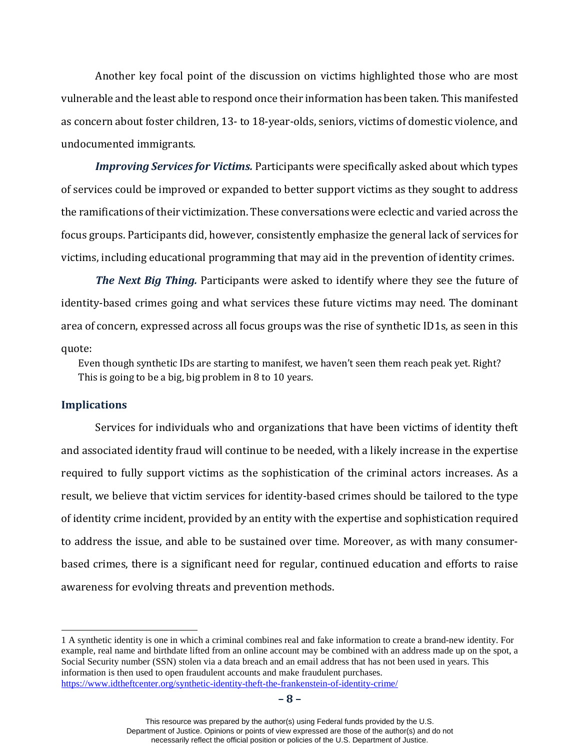Another key focal point of the discussion on victims highlighted those who are most vulnerable and the least able to respond once their information has been taken. This manifested as concern about foster children, 13- to 18-year-olds, seniors, victims of domestic violence, and undocumented immigrants.

*Improving Services for Victims.* Participants were specifically asked about which types of services could be improved or expanded to better support victims as they sought to address the ramifications of their victimization. These conversations were eclectic and varied across the focus groups. Participants did, however, consistently emphasize the general lack of services for victims, including educational programming that may aid in the prevention of identity crimes.

*The Next Big Thing.* Participants were asked to identify where they see the future of identity-based crimes going and what services these future victims may need. The dominant area of concern, expressed across all focus groups was the rise of synthetic ID[1s](#page-9-0), as seen in this quote:

Even though synthetic IDs are starting to manifest, we haven't seen them reach peak yet. Right? This is going to be a big, big problem in 8 to 10 years.

#### **Implications**

-

Services for individuals who and organizations that have been victims of identity theft and associated identity fraud will continue to be needed, with a likely increase in the expertise required to fully support victims as the sophistication of the criminal actors increases. As a result, we believe that victim services for identity-based crimes should be tailored to the type of identity crime incident, provided by an entity with the expertise and sophistication required to address the issue, and able to be sustained over time. Moreover, as with many consumerbased crimes, there is a significant need for regular, continued education and efforts to raise awareness for evolving threats and prevention methods.

<span id="page-9-0"></span><sup>1</sup> A synthetic identity is one in which a criminal combines real and fake information to create a brand-new identity. For example, real name and birthdate lifted from an online account may be combined with an address made up on the spot, a Social Security number (SSN) stolen via a data breach and an email address that has not been used in years. This information is then used to open fraudulent accounts and make fraudulent purchases. <https://www.idtheftcenter.org/synthetic-identity-theft-the-frankenstein-of-identity-crime/>

This resource was prepared by the author(s) using Federal funds provided by the U.S. Department of Justice. Opinions or points of view expressed are those of the author(s) and do not necessarily reflect the official position or policies of the U.S. Department of Justice.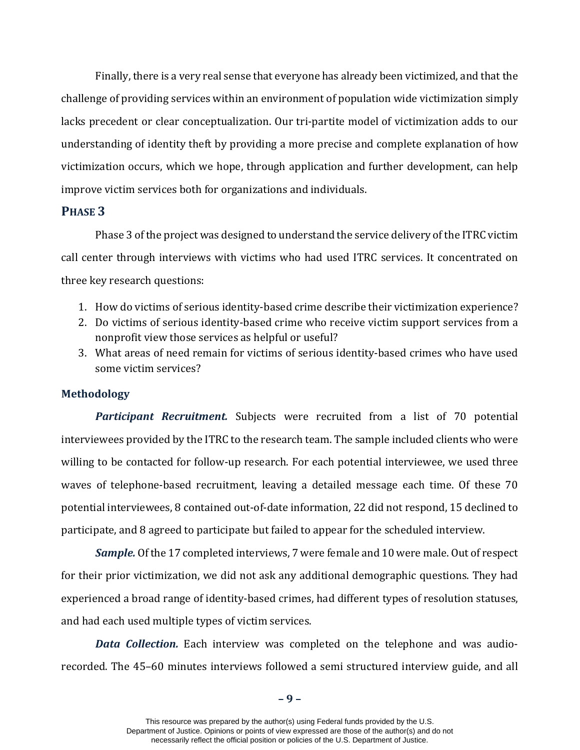Finally, there is a very real sense that everyone has already been victimized, and that the challenge of providing services within an environment of population wide victimization simply lacks precedent or clear conceptualization. Our tri-partite model of victimization adds to our understanding of identity theft by providing a more precise and complete explanation of how victimization occurs, which we hope, through application and further development, can help improve victim services both for organizations and individuals.

## **PHASE 3**

Phase 3 of the project was designed to understand the service delivery of the ITRC victim call center through interviews with victims who had used ITRC services. It concentrated on three key research questions:

- 1. How do victims of serious identity-based crime describe their victimization experience?
- 2. Do victims of serious identity-based crime who receive victim support services from a nonprofit view those services as helpful or useful?
- 3. What areas of need remain for victims of serious identity-based crimes who have used some victim services?

#### **Methodology**

*Participant Recruitment.* Subjects were recruited from a list of 70 potential interviewees provided by the ITRC to the research team. The sample included clients who were willing to be contacted for follow-up research. For each potential interviewee, we used three waves of telephone-based recruitment, leaving a detailed message each time. Of these 70 potential interviewees, 8 contained out-of-date information, 22 did not respond, 15 declined to participate, and 8 agreed to participate but failed to appear for the scheduled interview.

*Sample.* Of the 17 completed interviews, 7 were female and 10 were male. Out of respect for their prior victimization, we did not ask any additional demographic questions. They had experienced a broad range of identity-based crimes, had different types of resolution statuses, and had each used multiple types of victim services.

*Data Collection.* Each interview was completed on the telephone and was audiorecorded. The 45–60 minutes interviews followed a semi structured interview guide, and all

**– 9 –**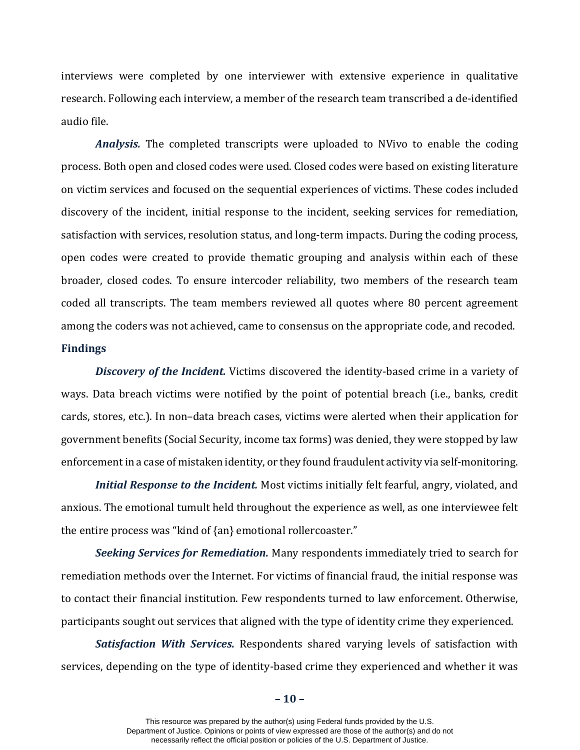interviews were completed by one interviewer with extensive experience in qualitative research. Following each interview, a member of the research team transcribed a de-identified audio file.

*Analysis.* The completed transcripts were uploaded to NVivo to enable the coding process. Both open and closed codes were used. Closed codes were based on existing literature on victim services and focused on the sequential experiences of victims. These codes included discovery of the incident, initial response to the incident, seeking services for remediation, satisfaction with services, resolution status, and long-term impacts. During the coding process, open codes were created to provide thematic grouping and analysis within each of these broader, closed codes. To ensure intercoder reliability, two members of the research team coded all transcripts. The team members reviewed all quotes where 80 percent agreement among the coders was not achieved, came to consensus on the appropriate code, and recoded. **Findings**

*Discovery of the Incident.* Victims discovered the identity-based crime in a variety of ways. Data breach victims were notified by the point of potential breach (i.e., banks, credit cards, stores, etc.). In non–data breach cases, victims were alerted when their application for government benefits (Social Security, income tax forms) was denied, they were stopped by law enforcement in a case of mistaken identity, or they found fraudulent activity via self-monitoring.

*Initial Response to the Incident.* Most victims initially felt fearful, angry, violated, and anxious. The emotional tumult held throughout the experience as well, as one interviewee felt the entire process was "kind of {an} emotional rollercoaster."

*Seeking Services for Remediation.* Many respondents immediately tried to search for remediation methods over the Internet. For victims of financial fraud, the initial response was to contact their financial institution. Few respondents turned to law enforcement. Otherwise, participants sought out services that aligned with the type of identity crime they experienced.

*Satisfaction With Services.* Respondents shared varying levels of satisfaction with services, depending on the type of identity-based crime they experienced and whether it was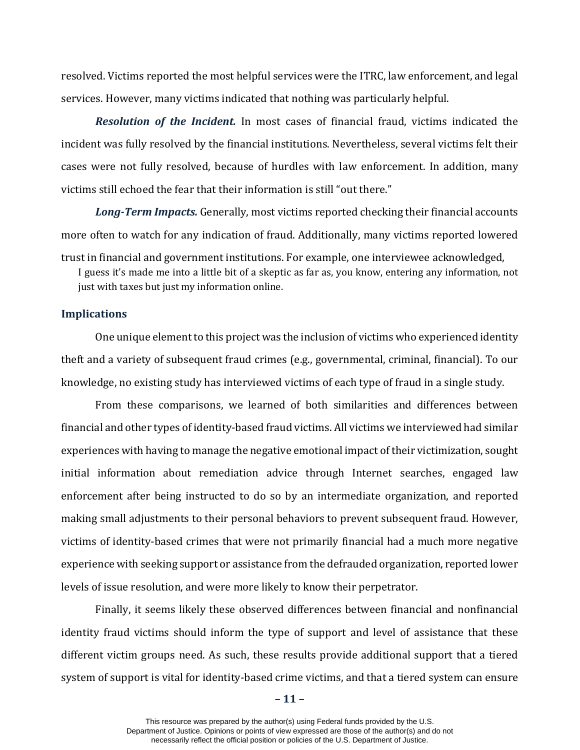resolved. Victims reported the most helpful services were the ITRC, law enforcement, and legal services. However, many victims indicated that nothing was particularly helpful.

*Resolution of the Incident.* In most cases of financial fraud, victims indicated the incident was fully resolved by the financial institutions. Nevertheless, several victims felt their cases were not fully resolved, because of hurdles with law enforcement. In addition, many victims still echoed the fear that their information is still "out there."

*Long-Term Impacts.* Generally, most victims reported checking their financial accounts more often to watch for any indication of fraud. Additionally, many victims reported lowered trust in financial and government institutions. For example, one interviewee acknowledged,

I guess it's made me into a little bit of a skeptic as far as, you know, entering any information, not just with taxes but just my information online.

#### **Implications**

One unique element to this project was the inclusion of victims who experienced identity theft and a variety of subsequent fraud crimes (e.g., governmental, criminal, financial). To our knowledge, no existing study has interviewed victims of each type of fraud in a single study.

From these comparisons, we learned of both similarities and differences between financial and other types of identity-based fraud victims. All victims we interviewed had similar experiences with having to manage the negative emotional impact of their victimization, sought initial information about remediation advice through Internet searches, engaged law enforcement after being instructed to do so by an intermediate organization, and reported making small adjustments to their personal behaviors to prevent subsequent fraud. However, victims of identity-based crimes that were not primarily financial had a much more negative experience with seeking support or assistance from the defrauded organization, reported lower levels of issue resolution, and were more likely to know their perpetrator.

Finally, it seems likely these observed differences between financial and nonfinancial identity fraud victims should inform the type of support and level of assistance that these different victim groups need. As such, these results provide additional support that a tiered system of support is vital for identity-based crime victims, and that a tiered system can ensure

**– 11 –**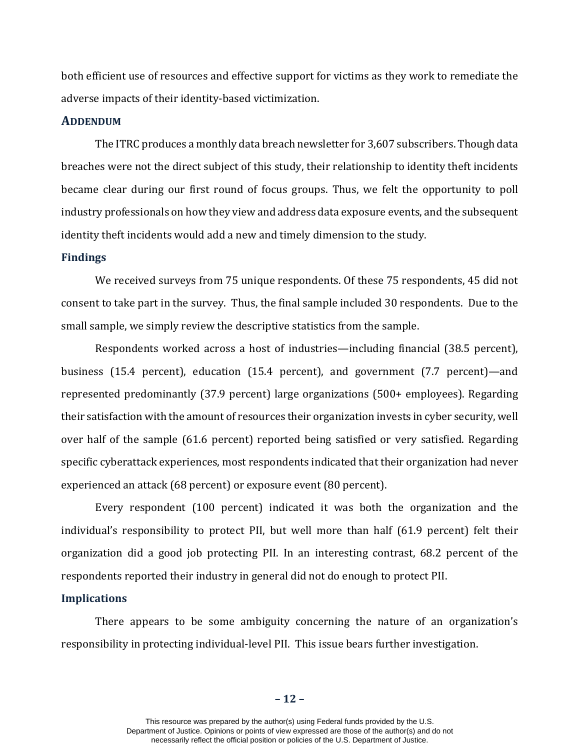both efficient use of resources and effective support for victims as they work to remediate the adverse impacts of their identity-based victimization.

## **ADDENDUM**

The ITRC produces a monthly data breach newsletter for 3,607 subscribers. Though data breaches were not the direct subject of this study, their relationship to identity theft incidents became clear during our first round of focus groups. Thus, we felt the opportunity to poll industry professionals on how they view and address data exposure events, and the subsequent identity theft incidents would add a new and timely dimension to the study.

#### **Findings**

We received surveys from 75 unique respondents. Of these 75 respondents, 45 did not consent to take part in the survey. Thus, the final sample included 30 respondents. Due to the small sample, we simply review the descriptive statistics from the sample.

Respondents worked across a host of industries—including financial (38.5 percent), business (15.4 percent), education (15.4 percent), and government (7.7 percent)—and represented predominantly (37.9 percent) large organizations (500+ employees). Regarding their satisfaction with the amount of resources their organization invests in cyber security, well over half of the sample (61.6 percent) reported being satisfied or very satisfied. Regarding specific cyberattack experiences, most respondents indicated that their organization had never experienced an attack (68 percent) or exposure event (80 percent).

Every respondent (100 percent) indicated it was both the organization and the individual's responsibility to protect PII, but well more than half (61.9 percent) felt their organization did a good job protecting PII. In an interesting contrast, 68.2 percent of the respondents reported their industry in general did not do enough to protect PII.

#### **Implications**

There appears to be some ambiguity concerning the nature of an organization's responsibility in protecting individual-level PII. This issue bears further investigation.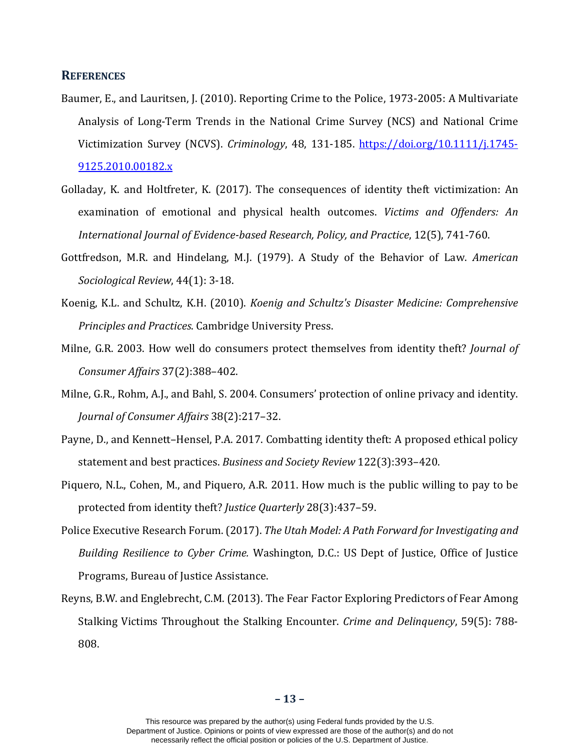#### **REFERENCES**

- Baumer, E., and Lauritsen, J. (2010). Reporting Crime to the Police, 1973-2005: A Multivariate Analysis of Long-Term Trends in the National Crime Survey (NCS) and National Crime Victimization Survey (NCVS). *Criminology*, 48, 131-185. [https://doi.org/10.1111/j.1745-](https://doi.org/10.1111/j.1745-9125.2010.00182.x) [9125.2010.00182.x](https://doi.org/10.1111/j.1745-9125.2010.00182.x)
- Golladay, K. and Holtfreter, K. (2017). The consequences of identity theft victimization: An examination of emotional and physical health outcomes. *Victims and Offenders: An International Journal of Evidence-based Research, Policy, and Practice*, 12(5), 741-760.
- Gottfredson, M.R. and Hindelang, M.J. (1979). A Study of the Behavior of Law. *American Sociological Review*, 44(1): 3-18.
- Koenig, K.L. and Schultz, K.H. (2010). *Koenig and Schultz's Disaster Medicine: Comprehensive Principles and Practices*. Cambridge University Press.
- Milne, G.R. 2003. How well do consumers protect themselves from identity theft? *Journal of Consumer Affairs* 37(2):388–402.
- Milne, G.R., Rohm, A.J., and Bahl, S. 2004. Consumers' protection of online privacy and identity. *Journal of Consumer Affairs* 38(2):217–32.
- Payne, D., and Kennett–Hensel, P.A. 2017. Combatting identity theft: A proposed ethical policy statement and best practices. *Business and Society Review* 122(3):393–420.
- Piquero, N.L., Cohen, M., and Piquero, A.R. 2011. How much is the public willing to pay to be protected from identity theft? *Justice Quarterly* 28(3):437–59.
- Police Executive Research Forum. (2017). *The Utah Model: A Path Forward for Investigating and Building Resilience to Cyber Crime.* Washington, D.C.: US Dept of Justice, Office of Justice Programs, Bureau of Justice Assistance.
- Reyns, B.W. and Englebrecht, C.M. (2013). The Fear Factor Exploring Predictors of Fear Among Stalking Victims Throughout the Stalking Encounter. *Crime and Delinquency*, 59(5): 788- 808.